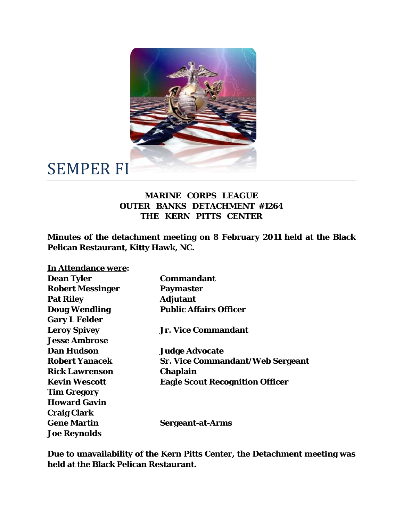

## SEMPER FI

## **MARINE CORPS LEAGUE OUTER BANKS DETACHMENT #1264 THE KERN PITTS CENTER**

**Minutes of the detachment meeting on 8 February 2011 held at the Black Pelican Restaurant, Kitty Hawk, NC.** 

| In Attendance were:     |                                         |
|-------------------------|-----------------------------------------|
| <b>Dean Tyler</b>       | Commandant                              |
| <b>Robert Messinger</b> | <b>Paymaster</b>                        |
| <b>Pat Riley</b>        | <b>Adjutant</b>                         |
| <b>Doug Wendling</b>    | <b>Public Affairs Officer</b>           |
| <b>Gary L Felder</b>    |                                         |
| <b>Leroy Spivey</b>     | <b>Jr. Vice Commandant</b>              |
| <b>Jesse Ambrose</b>    |                                         |
| <b>Dan Hudson</b>       | <b>Judge Advocate</b>                   |
| <b>Robert Yanacek</b>   | <b>Sr. Vice Commandant/Web Sergeant</b> |
| <b>Rick Lawrenson</b>   | <b>Chaplain</b>                         |
| <b>Kevin Wescott</b>    | <b>Eagle Scout Recognition Officer</b>  |
| <b>Tim Gregory</b>      |                                         |
| <b>Howard Gavin</b>     |                                         |
| <b>Craig Clark</b>      |                                         |
| <b>Gene Martin</b>      | <b>Sergeant-at-Arms</b>                 |
| <b>Joe Reynolds</b>     |                                         |

**Due to unavailability of the Kern Pitts Center, the Detachment meeting was held at the Black Pelican Restaurant.**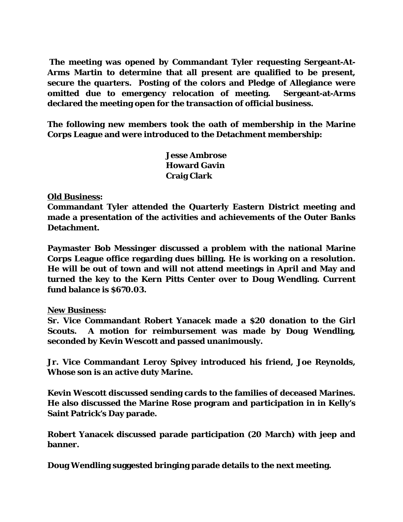**The meeting was opened by Commandant Tyler requesting Sergeant-At-Arms Martin to determine that all present are qualified to be present, secure the quarters. Posting of the colors and Pledge of Allegiance were omitted due to emergency relocation of meeting. Sergeant-at-Arms declared the meeting open for the transaction of official business.** 

**The following new members took the oath of membership in the Marine Corps League and were introduced to the Detachment membership:** 

> **Jesse Ambrose Howard Gavin Craig Clark**

## **Old Business:**

**Commandant Tyler attended the Quarterly Eastern District meeting and made a presentation of the activities and achievements of the Outer Banks Detachment.** 

**Paymaster Bob Messinger discussed a problem with the national Marine Corps League office regarding dues billing. He is working on a resolution. He will be out of town and will not attend meetings in April and May and turned the key to the Kern Pitts Center over to Doug Wendling. Current fund balance is \$670.03.** 

## **New Business:**

**Sr. Vice Commandant Robert Yanacek made a \$20 donation to the Girl Scouts. A motion for reimbursement was made by Doug Wendling, seconded by Kevin Wescott and passed unanimously.** 

**Jr. Vice Commandant Leroy Spivey introduced his friend, Joe Reynolds, Whose son is an active duty Marine.** 

**Kevin Wescott discussed sending cards to the families of deceased Marines. He also discussed the Marine Rose program and participation in in Kelly's Saint Patrick's Day parade.** 

**Robert Yanacek discussed parade participation (20 March) with jeep and banner.** 

**Doug Wendling suggested bringing parade details to the next meeting.**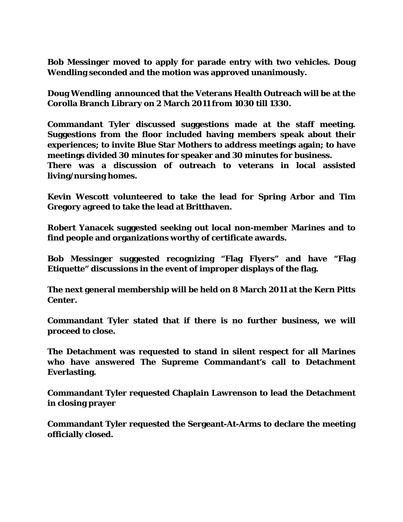**Bob Messinger moved to apply for parade entry with two vehicles. Doug Wendling seconded and the motion was approved unanimously.** 

**Doug Wendling announced that the Veterans Health Outreach will be at the Corolla Branch Library on 2 March 2011 from 1030 till 1330.** 

**Commandant Tyler discussed suggestions made at the staff meeting. Suggestions from the floor included having members speak about their experiences; to invite Blue Star Mothers to address meetings again; to have meetings divided 30 minutes for speaker and 30 minutes for business.** 

**There was a discussion of outreach to veterans in local assisted living/nursing homes.** 

**Kevin Wescott volunteered to take the lead for Spring Arbor and Tim Gregory agreed to take the lead at Britthaven.** 

**Robert Yanacek suggested seeking out local non-member Marines and to find people and organizations worthy of certificate awards.** 

**Bob Messinger suggested recognizing "Flag Flyers" and have "Flag Etiquette" discussions in the event of improper displays of the flag.** 

**The next general membership will be held on 8 March 2011 at the Kern Pitts Center.** 

**Commandant Tyler stated that if there is no further business, we will proceed to close.** 

**The Detachment was requested to stand in silent respect for all Marines who have answered The Supreme Commandant's call to Detachment Everlasting.** 

**Commandant Tyler requested Chaplain Lawrenson to lead the Detachment in closing prayer** 

**Commandant Tyler requested the Sergeant-At-Arms to declare the meeting officially closed.**